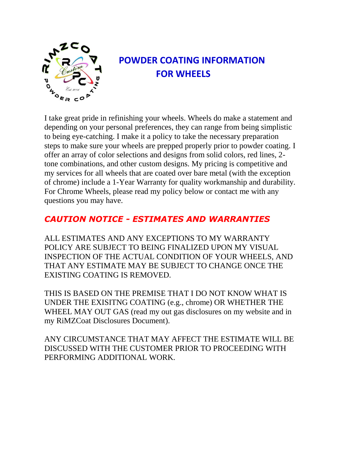

# **POWDER COATING INFORMATION FOR WHEELS**

I take great pride in refinishing your wheels. Wheels do make a statement and depending on your personal preferences, they can range from being simplistic to being eye-catching. I make it a policy to take the necessary preparation steps to make sure your wheels are prepped properly prior to powder coating. I offer an array of color selections and designs from solid colors, red lines, 2 tone combinations, and other custom designs. My pricing is competitive and my services for all wheels that are coated over bare metal (with the exception of chrome) include a 1-Year Warranty for quality workmanship and durability. For Chrome Wheels, please read my policy below or contact me with any questions you may have.

## *CAUTION NOTICE - ESTIMATES AND WARRANTIES*

ALL ESTIMATES AND ANY EXCEPTIONS TO MY WARRANTY POLICY ARE SUBJECT TO BEING FINALIZED UPON MY VISUAL INSPECTION OF THE ACTUAL CONDITION OF YOUR WHEELS, AND THAT ANY ESTIMATE MAY BE SUBJECT TO CHANGE ONCE THE EXISTING COATING IS REMOVED.

THIS IS BASED ON THE PREMISE THAT I DO NOT KNOW WHAT IS UNDER THE EXISITNG COATING (e.g., chrome) OR WHETHER THE WHEEL MAY OUT GAS (read my out gas disclosures on my website and in my RiMZCoat Disclosures Document).

ANY CIRCUMSTANCE THAT MAY AFFECT THE ESTIMATE WILL BE DISCUSSED WITH THE CUSTOMER PRIOR TO PROCEEDING WITH PERFORMING ADDITIONAL WORK.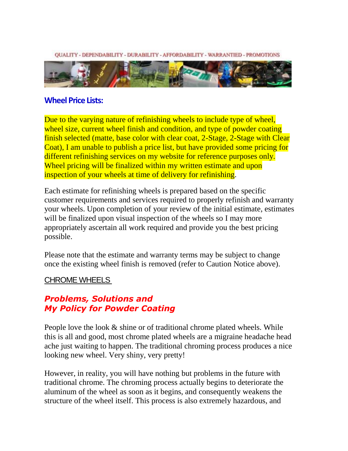**OUALITY - DEPENDABILITY - DURABILITY - AFFORDABILITY - WARRANTIED - PROMOTIONS** 



#### **Wheel Price Lists:**

Due to the varying nature of refinishing wheels to include type of wheel, wheel size, current wheel finish and condition, and type of powder coating finish selected (matte, base color with clear coat, 2-Stage, 2-Stage with Clear Coat), I am unable to publish a price list, but have provided some pricing for different refinishing services on my website for reference purposes only. Wheel pricing will be finalized within my written estimate and upon inspection of your wheels at time of delivery for refinishing.

Each estimate for refinishing wheels is prepared based on the specific customer requirements and services required to properly refinish and warranty your wheels. Upon completion of your review of the initial estimate, estimates will be finalized upon visual inspection of the wheels so I may more appropriately ascertain all work required and provide you the best pricing possible.

Please note that the estimate and warranty terms may be subject to change once the existing wheel finish is removed (refer to Caution Notice above).

#### CHROME WHEELS

## *Problems, Solutions and My Policy for Powder Coating*

People love the look  $\&$  shine or of traditional chrome plated wheels. While this is all and good, most chrome plated wheels are a migraine headache head ache just waiting to happen. The traditional chroming process produces a nice looking new wheel. Very shiny, very pretty!

However, in reality, you will have nothing but problems in the future with traditional chrome. The chroming process actually begins to deteriorate the aluminum of the wheel as soon as it begins, and consequently weakens the structure of the wheel itself. This process is also extremely hazardous, and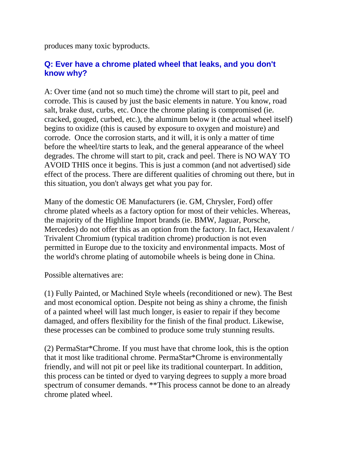produces many toxic byproducts.

## **Q: Ever have a chrome plated wheel that leaks, and you don't know why?**

A: Over time (and not so much time) the chrome will start to pit, peel and corrode. This is caused by just the basic elements in nature. You know, road salt, brake dust, curbs, etc. Once the chrome plating is compromised (ie. cracked, gouged, curbed, etc.), the aluminum below it (the actual wheel itself) begins to oxidize (this is caused by exposure to oxygen and moisture) and corrode. Once the corrosion starts, and it will, it is only a matter of time before the wheel/tire starts to leak, and the general appearance of the wheel degrades. The chrome will start to pit, crack and peel. There is NO WAY TO AVOID THIS once it begins. This is just a common (and not advertised) side effect of the process. There are different qualities of chroming out there, but in this situation, you don't always get what you pay for.

Many of the domestic OE Manufacturers (ie. GM, Chrysler, Ford) offer chrome plated wheels as a factory option for most of their vehicles. Whereas, the majority of the Highline Import brands (ie. BMW, Jaguar, Porsche, Mercedes) do not offer this as an option from the factory. In fact, Hexavalent / Trivalent Chromium (typical tradition chrome) production is not even permitted in Europe due to the toxicity and environmental impacts. Most of the world's chrome plating of automobile wheels is being done in China.

Possible alternatives are:

(1) Fully Painted, or Machined Style wheels (reconditioned or new). The Best and most economical option. Despite not being as shiny a chrome, the finish of a painted wheel will last much longer, is easier to repair if they become damaged, and offers flexibility for the finish of the final product. Likewise, these processes can be combined to produce some truly stunning results.

(2) PermaStar\*Chrome. If you must have that chrome look, this is the option that it most like traditional chrome. PermaStar\*Chrome is environmentally friendly, and will not pit or peel like its traditional counterpart. In addition, this process can be tinted or dyed to varying degrees to supply a more broad spectrum of consumer demands. \*\*This process cannot be done to an already chrome plated wheel.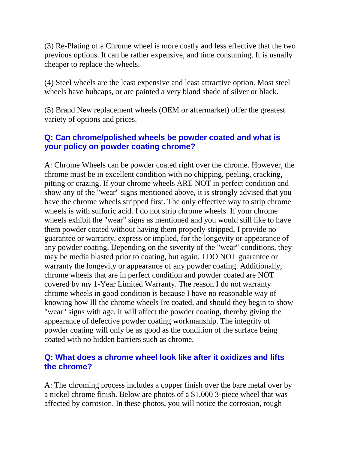(3) Re-Plating of a Chrome wheel is more costly and less effective that the two previous options. It can be rather expensive, and time consuming. It is usually cheaper to replace the wheels.

(4) Steel wheels are the least expensive and least attractive option. Most steel wheels have hubcaps, or are painted a very bland shade of silver or black.

(5) Brand New replacement wheels (OEM or aftermarket) offer the greatest variety of options and prices.

## **Q: Can chrome/polished wheels be powder coated and what is your policy on powder coating chrome?**

A: Chrome Wheels can be powder coated right over the chrome. However, the chrome must be in excellent condition with no chipping, peeling, cracking, pitting or crazing. If your chrome wheels ARE NOT in perfect condition and show any of the "wear" signs mentioned above, it is strongly advised that you have the chrome wheels stripped first. The only effective way to strip chrome wheels is with sulfuric acid. I do not strip chrome wheels. If your chrome wheels exhibit the "wear" signs as mentioned and you would still like to have them powder coated without having them properly stripped, I provide no guarantee or warranty, express or implied, for the longevity or appearance of any powder coating. Depending on the severity of the "wear" conditions, they may be media blasted prior to coating, but again, I DO NOT guarantee or warranty the longevity or appearance of any powder coating. Additionally, chrome wheels that are in perfect condition and powder coated are NOT covered by my 1-Year Limited Warranty. The reason I do not warranty chrome wheels in good condition is because I have no reasonable way of knowing how Ill the chrome wheels Ire coated, and should they begin to show "wear" signs with age, it will affect the powder coating, thereby giving the appearance of defective powder coating workmanship. The integrity of powder coating will only be as good as the condition of the surface being coated with no hidden barriers such as chrome.

#### **Q: What does a chrome wheel look like after it oxidizes and lifts the chrome?**

A: The chroming process includes a copper finish over the bare metal over by a nickel chrome finish. Below are photos of a \$1,000 3-piece wheel that was affected by corrosion. In these photos, you will notice the corrosion, rough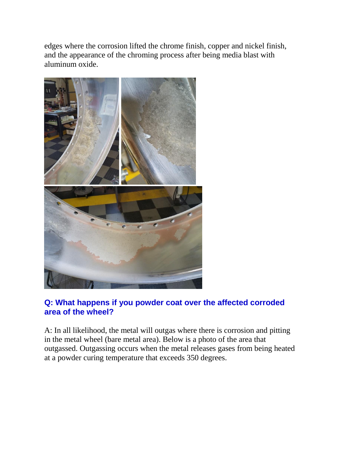edges where the corrosion lifted the chrome finish, copper and nickel finish, and the appearance of the chroming process after being media blast with aluminum oxide.



## **Q: What happens if you powder coat over the affected corroded area of the wheel?**

A: In all likelihood, the metal will outgas where there is corrosion and pitting in the metal wheel (bare metal area). Below is a photo of the area that outgassed. Outgassing occurs when the metal releases gases from being heated at a powder curing temperature that exceeds 350 degrees.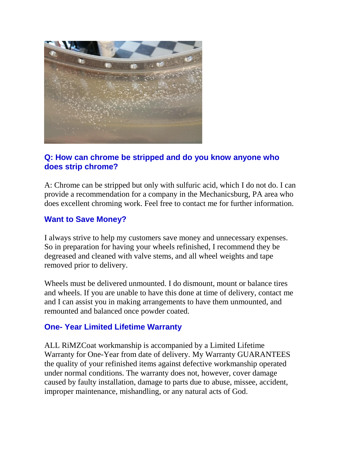

### **Q: How can chrome be stripped and do you know anyone who does strip chrome?**

A: Chrome can be stripped but only with sulfuric acid, which I do not do. I can provide a recommendation for a company in the Mechanicsburg, PA area who does excellent chroming work. Feel free to contact me for further information.

#### **Want to Save Money?**

I always strive to help my customers save money and unnecessary expenses. So in preparation for having your wheels refinished, I recommend they be degreased and cleaned with valve stems, and all wheel weights and tape removed prior to delivery.

Wheels must be delivered unmounted. I do dismount, mount or balance tires and wheels. If you are unable to have this done at time of delivery, contact me and I can assist you in making arrangements to have them unmounted, and remounted and balanced once powder coated.

#### **One- Year Limited Lifetime Warranty**

ALL RiMZCoat workmanship is accompanied by a Limited Lifetime Warranty for One-Year from date of delivery. My Warranty GUARANTEES the quality of your refinished items against defective workmanship operated under normal conditions. The warranty does not, however, cover damage caused by faulty installation, damage to parts due to abuse, missee, accident, improper maintenance, mishandling, or any natural acts of God.